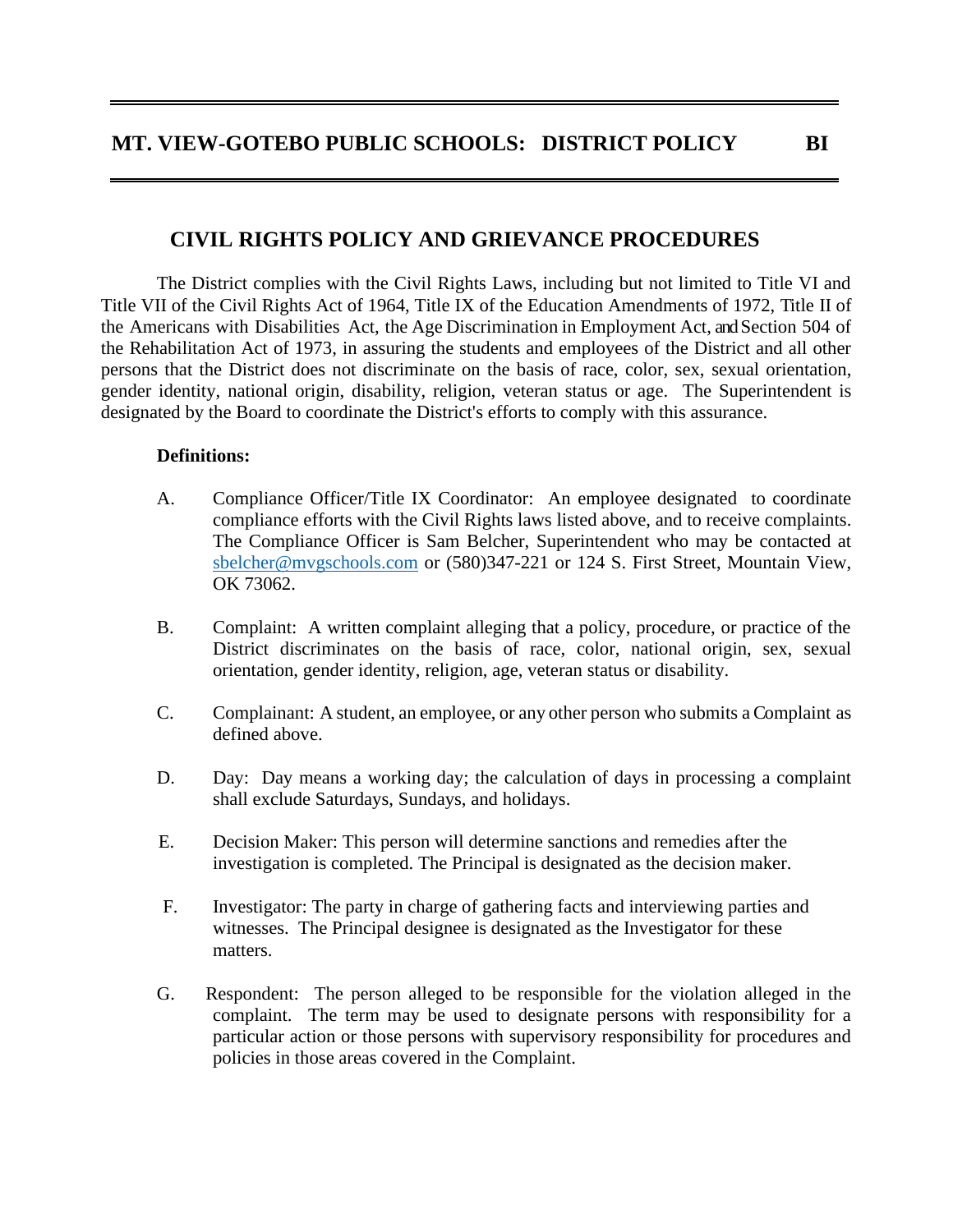## **CIVIL RIGHTS POLICY AND GRIEVANCE PROCEDURES**

The District complies with the Civil Rights Laws, including but not limited to Title VI and Title VII of the Civil Rights Act of 1964, Title IX of the Education Amendments of 1972, Title II of the Americans with Disabilities Act, the Age Discrimination in Employment Act, and Section 504 of the Rehabilitation Act of 1973, in assuring the students and employees of the District and all other persons that the District does not discriminate on the basis of race, color, sex, sexual orientation, gender identity, national origin, disability, religion, veteran status or age. The Superintendent is designated by the Board to coordinate the District's efforts to comply with this assurance.

## **Definitions:**

- A. Compliance Officer/Title IX Coordinator: An employee designated to coordinate compliance efforts with the Civil Rights laws listed above, and to receive complaints. The Compliance Officer is Sam Belcher, Superintendent who may be contacted at [sbelcher@mvgschools.com](mailto:sbelcher@mvgschools.com) or (580)347-221 or 124 S. First Street, Mountain View, OK 73062.
- B. Complaint: A written complaint alleging that a policy, procedure, or practice of the District discriminates on the basis of race, color, national origin, sex, sexual orientation, gender identity, religion, age, veteran status or disability.
- C. Complainant: A student, an employee, or any other person who submits a Complaint as defined above.
- D. Day: Day means a working day; the calculation of days in processing a complaint shall exclude Saturdays, Sundays, and holidays.
- E. Decision Maker: This person will determine sanctions and remedies after the investigation is completed. The Principal is designated as the decision maker.
- F. Investigator: The party in charge of gathering facts and interviewing parties and witnesses. The Principal designee is designated as the Investigator for these matters.
- G. Respondent: The person alleged to be responsible for the violation alleged in the complaint. The term may be used to designate persons with responsibility for a particular action or those persons with supervisory responsibility for procedures and policies in those areas covered in the Complaint.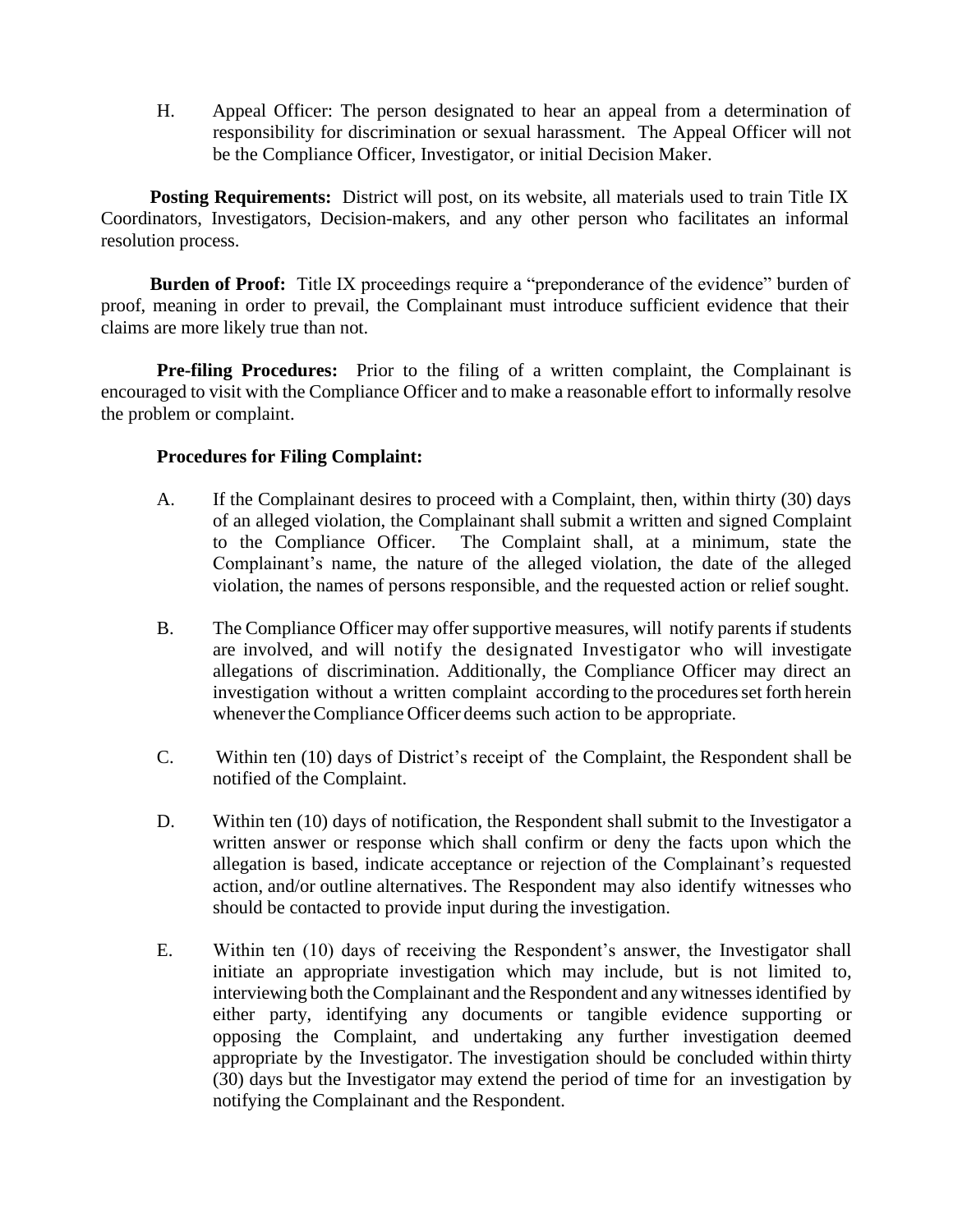H. Appeal Officer: The person designated to hear an appeal from a determination of responsibility for discrimination or sexual harassment. The Appeal Officer will not be the Compliance Officer, Investigator, or initial Decision Maker.

**Posting Requirements:** District will post, on its website, all materials used to train Title IX Coordinators, Investigators, Decision-makers, and any other person who facilitates an informal resolution process.

**Burden of Proof:** Title IX proceedings require a "preponderance of the evidence" burden of proof, meaning in order to prevail, the Complainant must introduce sufficient evidence that their claims are more likely true than not.

**Pre-filing Procedures:** Prior to the filing of a written complaint, the Complainant is encouraged to visit with the Compliance Officer and to make a reasonable effort to informally resolve the problem or complaint.

## **Procedures for Filing Complaint:**

- A. If the Complainant desires to proceed with a Complaint, then, within thirty (30) days of an alleged violation, the Complainant shall submit a written and signed Complaint to the Compliance Officer. The Complaint shall, at a minimum, state the Complainant's name, the nature of the alleged violation, the date of the alleged violation, the names of persons responsible, and the requested action or relief sought.
- B. The Compliance Officer may offer supportive measures, will notify parents if students are involved, and will notify the designated Investigator who will investigate allegations of discrimination. Additionally, the Compliance Officer may direct an investigation without a written complaint according to the procedures set forth herein whenever the Compliance Officer deems such action to be appropriate.
- C. Within ten (10) days of District's receipt of the Complaint, the Respondent shall be notified of the Complaint.
- D. Within ten (10) days of notification, the Respondent shall submit to the Investigator a written answer or response which shall confirm or deny the facts upon which the allegation is based, indicate acceptance or rejection of the Complainant's requested action, and/or outline alternatives. The Respondent may also identify witnesses who should be contacted to provide input during the investigation.
- E. Within ten (10) days of receiving the Respondent's answer, the Investigator shall initiate an appropriate investigation which may include, but is not limited to, interviewing both the Complainant and the Respondent and any witnessesidentified by either party, identifying any documents or tangible evidence supporting or opposing the Complaint, and undertaking any further investigation deemed appropriate by the Investigator. The investigation should be concluded within thirty (30) days but the Investigator may extend the period of time for an investigation by notifying the Complainant and the Respondent.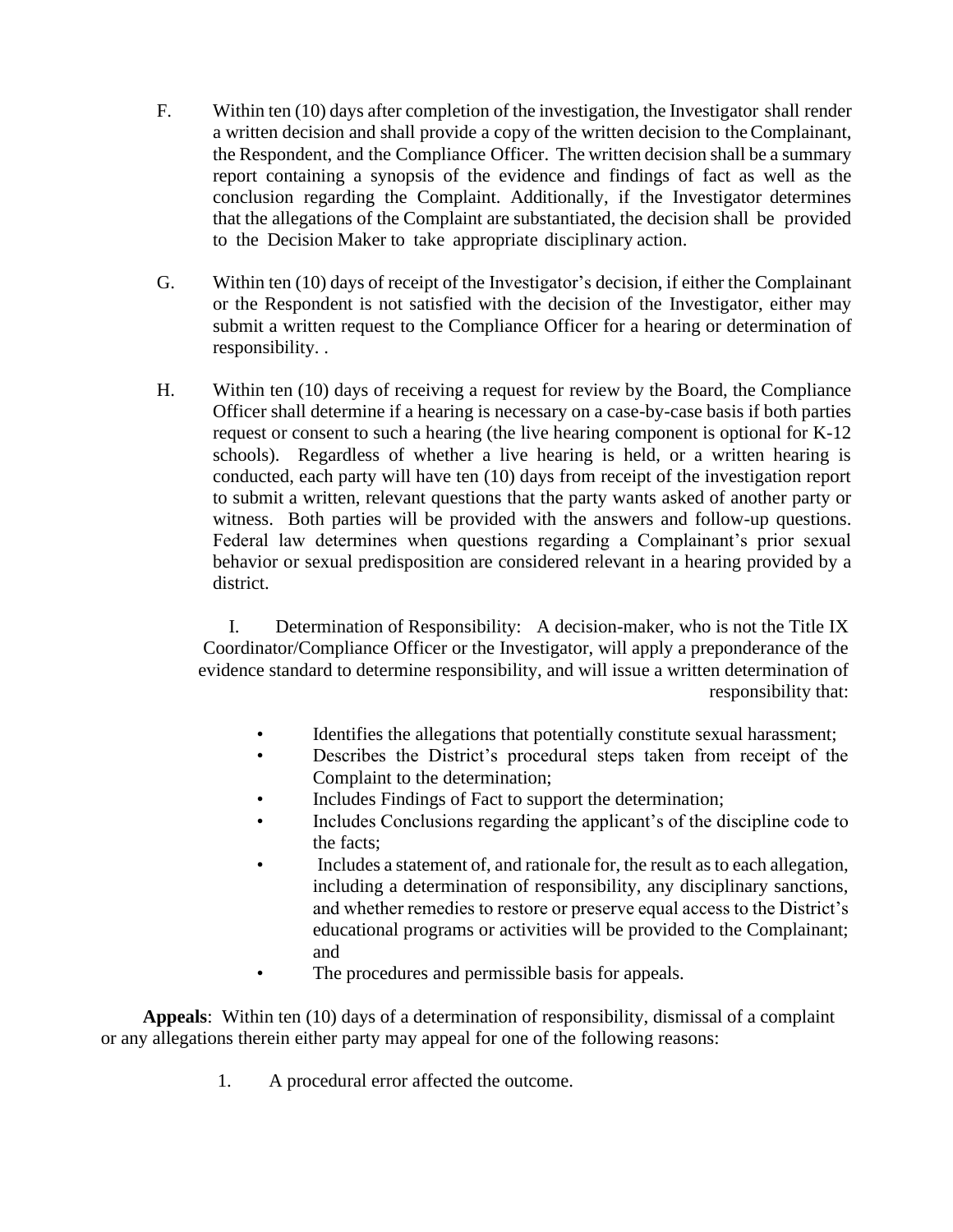- F. Within ten (10) days after completion of the investigation, the Investigator shall render a written decision and shall provide a copy of the written decision to theComplainant, the Respondent, and the Compliance Officer. The written decision shall be a summary report containing a synopsis of the evidence and findings of fact as well as the conclusion regarding the Complaint. Additionally, if the Investigator determines that the allegations of the Complaint are substantiated, the decision shall be provided to the Decision Maker to take appropriate disciplinary action.
- G. Within ten (10) days of receipt of the Investigator's decision, if either the Complainant or the Respondent is not satisfied with the decision of the Investigator, either may submit a written request to the Compliance Officer for a hearing or determination of responsibility. .
- H. Within ten (10) days of receiving a request for review by the Board, the Compliance Officer shall determine if a hearing is necessary on a case-by-case basis if both parties request or consent to such a hearing (the live hearing component is optional for K-12 schools). Regardless of whether a live hearing is held, or a written hearing is conducted, each party will have ten (10) days from receipt of the investigation report to submit a written, relevant questions that the party wants asked of another party or witness. Both parties will be provided with the answers and follow-up questions. Federal law determines when questions regarding a Complainant's prior sexual behavior or sexual predisposition are considered relevant in a hearing provided by a district.

I. Determination of Responsibility: A decision-maker, who is not the Title IX Coordinator/Compliance Officer or the Investigator, will apply a preponderance of the evidence standard to determine responsibility, and will issue a written determination of responsibility that:

- Identifies the allegations that potentially constitute sexual harassment;
- Describes the District's procedural steps taken from receipt of the Complaint to the determination;
- Includes Findings of Fact to support the determination;
- Includes Conclusions regarding the applicant's of the discipline code to the facts;
- Includes a statement of, and rationale for, the result as to each allegation, including a determination of responsibility, any disciplinary sanctions, and whether remedies to restore or preserve equal access to the District's educational programs or activities will be provided to the Complainant; and
- The procedures and permissible basis for appeals.

**Appeals**: Within ten (10) days of a determination of responsibility, dismissal of a complaint or any allegations therein either party may appeal for one of the following reasons:

1. A procedural error affected the outcome.